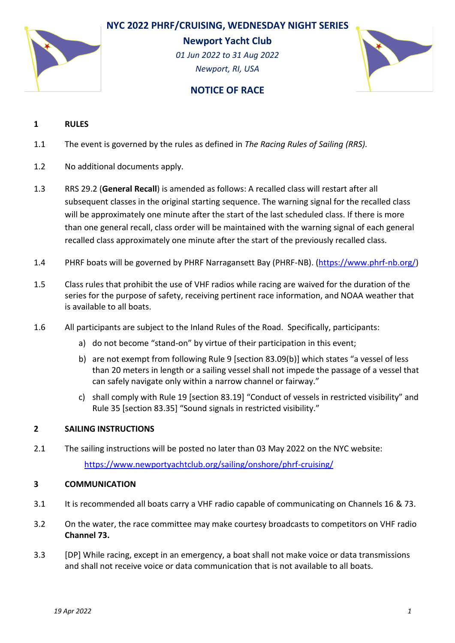



**Newport Yacht Club**

*01 Jun 2022 to 31 Aug 2022 Newport, RI, USA*



# **NOTICE OF RACE**

# **1 RULES**

- 1.1 The event is governed by the rules as defined in *The Racing Rules of Sailing (RRS).*
- 1.2 No additional documents apply.
- 1.3 RRS 29.2 (**General Recall**) is amended as follows: A recalled class will restart after all subsequent classes in the original starting sequence. The warning signal for the recalled class will be approximately one minute after the start of the last scheduled class. If there is more than one general recall, class order will be maintained with the warning signal of each general recalled class approximately one minute after the start of the previously recalled class.
- 1.4 PHRF boats will be governed by PHRF Narragansett Bay (PHRF-NB). [\(https://www.phrf-nb.org/\)](https://www.phrf-nb.org/)
- 1.5 Class rules that prohibit the use of VHF radios while racing are waived for the duration of the series for the purpose of safety, receiving pertinent race information, and NOAA weather that is available to all boats.
- 1.6 All participants are subject to the Inland Rules of the Road. Specifically, participants:
	- a) do not become "stand-on" by virtue of their participation in this event;
	- b) are not exempt from following Rule 9 [section 83.09(b)] which states "a vessel of less than 20 meters in length or a sailing vessel shall not impede the passage of a vessel that can safely navigate only within a narrow channel or fairway."
	- c) shall comply with Rule 19 [section 83.19] "Conduct of vessels in restricted visibility" and Rule 35 [section 83.35] "Sound signals in restricted visibility."

# **2 SAILING INSTRUCTIONS**

2.1 The sailing instructions will be posted no later than 03 May 2022 on the NYC website: <https://www.newportyachtclub.org/sailing/onshore/phrf-cruising/>

### **3 COMMUNICATION**

- 3.1 It is recommended all boats carry a VHF radio capable of communicating on Channels 16 & 73.
- 3.2 On the water, the race committee may make courtesy broadcasts to competitors on VHF radio **Channel 73.**
- 3.3 [DP] While racing, except in an emergency, a boat shall not make voice or data transmissions and shall not receive voice or data communication that is not available to all boats.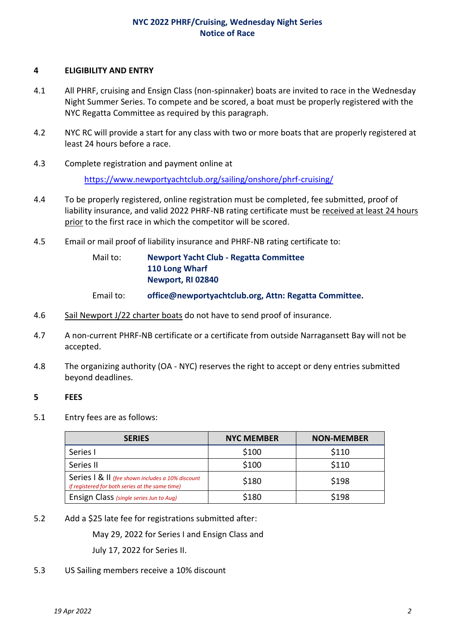# **NYC 2022 PHRF/Cruising, Wednesday Night Series Notice of Race**

#### **4 ELIGIBILITY AND ENTRY**

- 4.1 All PHRF, cruising and Ensign Class (non-spinnaker) boats are invited to race in the Wednesday Night Summer Series. To compete and be scored, a boat must be properly registered with the NYC Regatta Committee as required by this paragraph.
- 4.2 NYC RC will provide a start for any class with two or more boats that are properly registered at least 24 hours before a race.
- 4.3 Complete registration and payment online at

<https://www.newportyachtclub.org/sailing/onshore/phrf-cruising/>

- 4.4 To be properly registered, online registration must be completed, fee submitted, proof of liability insurance, and valid 2022 PHRF-NB rating certificate must be received at least 24 hours prior to the first race in which the competitor will be scored.
- 4.5 Email or mail proof of liability insurance and PHRF-NB rating certificate to:

Mail to: **Newport Yacht Club - Regatta Committee 110 Long Wharf Newport, RI 02840**

- Email to: **office@newportyachtclub.org, Attn: Regatta Committee.**
- 4.6 Sail Newport J/22 charter boats do not have to send proof of insurance.
- 4.7 A non-current PHRF-NB certificate or a certificate from outside Narragansett Bay will not be accepted.
- 4.8 The organizing authority (OA NYC) reserves the right to accept or deny entries submitted beyond deadlines.

### **5 FEES**

5.1 Entry fees are as follows:

| <b>SERIES</b>                                                                                       | <b>NYC MEMBER</b> | <b>NON-MEMBER</b> |
|-----------------------------------------------------------------------------------------------------|-------------------|-------------------|
| Series I                                                                                            | \$100             | \$110             |
| Series II                                                                                           | \$100             | \$110             |
| Series   & II (fee shown includes a 10% discount<br>if registered for both series at the same time) | \$180             | \$198             |
| Ensign Class (single series Jun to Aug)                                                             | \$180             | \$198             |

5.2 Add a \$25 late fee for registrations submitted after:

May 29, 2022 for Series I and Ensign Class and

July 17, 2022 for Series II.

5.3 US Sailing members receive a 10% discount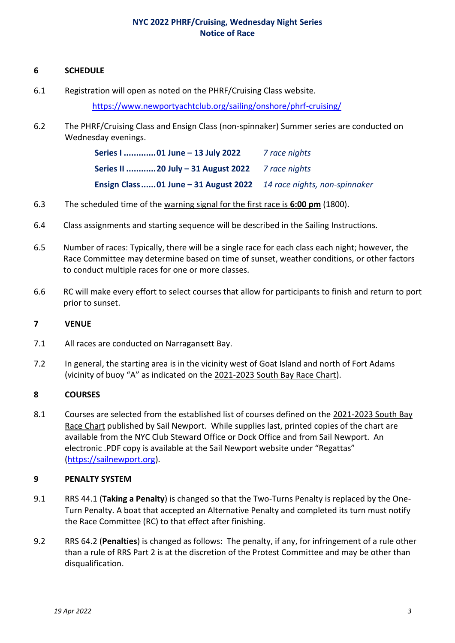# **NYC 2022 PHRF/Cruising, Wednesday Night Series Notice of Race**

### **6 SCHEDULE**

6.1 Registration will open as noted on the PHRF/Cruising Class website.

<https://www.newportyachtclub.org/sailing/onshore/phrf-cruising/>

6.2 The PHRF/Cruising Class and Ensign Class (non-spinnaker) Summer series are conducted on Wednesday evenings.

| Series I 01 June - 13 July 2022                                      | 7 race nights |
|----------------------------------------------------------------------|---------------|
| Series II  20 July $-31$ August 2022 $\frac{7}{2}$ race nights       |               |
| Ensign Class  01 June - 31 August 2022 14 race nights, non-spinnaker |               |

- 6.3 The scheduled time of the warning signal for the first race is **6:00 pm** (1800).
- 6.4 Class assignments and starting sequence will be described in the Sailing Instructions.
- 6.5 Number of races: Typically, there will be a single race for each class each night; however, the Race Committee may determine based on time of sunset, weather conditions, or other factors to conduct multiple races for one or more classes.
- 6.6 RC will make every effort to select courses that allow for participants to finish and return to port prior to sunset.

### **7 VENUE**

- 7.1 All races are conducted on Narragansett Bay.
- 7.2 In general, the starting area is in the vicinity west of Goat Island and north of Fort Adams (vicinity of buoy "A" as indicated on the 2021-2023 South Bay Race Chart).

### **8 COURSES**

8.1 Courses are selected from the established list of courses defined on the 2021-2023 South Bay Race Chart published by Sail Newport. While supplies last, printed copies of the chart are available from the NYC Club Steward Office or Dock Office and from Sail Newport. An electronic .PDF copy is available at the Sail Newport website under "Regattas" [\(https://sailnewport.org\)](https://sailnewport.org/).

### **9 PENALTY SYSTEM**

- 9.1 RRS 44.1 (**Taking a Penalty**) is changed so that the Two-Turns Penalty is replaced by the One-Turn Penalty. A boat that accepted an Alternative Penalty and completed its turn must notify the Race Committee (RC) to that effect after finishing.
- 9.2 RRS 64.2 (**Penalties**) is changed as follows: The penalty, if any, for infringement of a rule other than a rule of RRS Part 2 is at the discretion of the Protest Committee and may be other than disqualification.